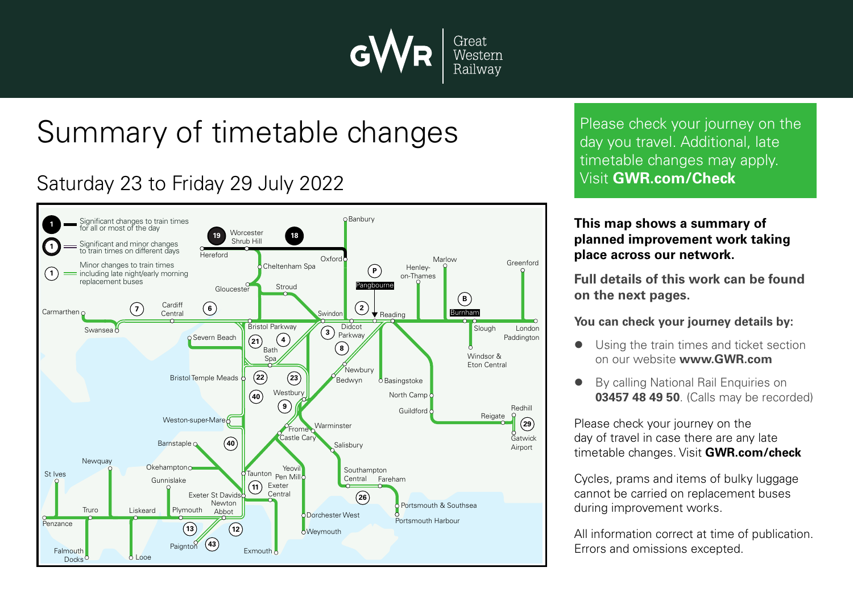

# Summary of timetable changes

### Saturday 23 to Friday 29 July 2022



Please check your journey on the day you travel. Additional, late timetable changes may apply. Visit **GWR.com/Check**

#### **This map shows a summary of planned improvement work taking place across our network.**

**Full details of this work can be found on the next pages.**

**You can check your journey details by:**

- Using the train times and ticket section on our website **www.GWR.com**
- By calling National Rail Enquiries on **03457 48 49 50**. (Calls may be recorded)

Please check your journey on the day of travel in case there are any late timetable changes. Visit **GWR.com/check**

Cycles, prams and items of bulky luggage cannot be carried on replacement buses during improvement works.

All information correct at time of publication. Errors and omissions excepted.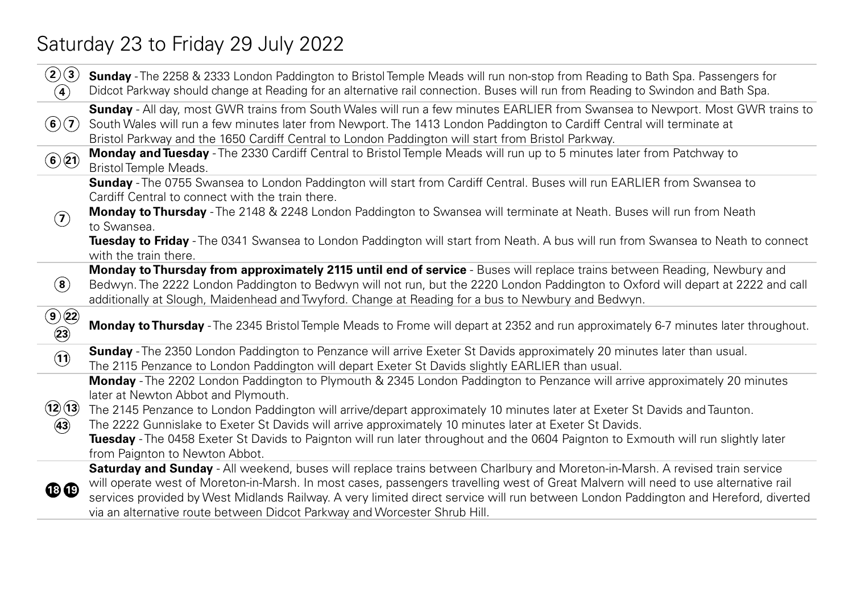### Saturday 23 to Friday 29 July 2022

| (2)(3)<br>$\left( 4\right)$    | Sunday - The 2258 & 2333 London Paddington to Bristol Temple Meads will run non-stop from Reading to Bath Spa. Passengers for<br>Didcot Parkway should change at Reading for an alternative rail connection. Buses will run from Reading to Swindon and Bath Spa.                                                                                                                                                                                                                                                                                                                |
|--------------------------------|----------------------------------------------------------------------------------------------------------------------------------------------------------------------------------------------------------------------------------------------------------------------------------------------------------------------------------------------------------------------------------------------------------------------------------------------------------------------------------------------------------------------------------------------------------------------------------|
| $\mathbf{G}(7)$                | Sunday - All day, most GWR trains from South Wales will run a few minutes EARLIER from Swansea to Newport. Most GWR trains to<br>South Wales will run a few minutes later from Newport. The 1413 London Paddington to Cardiff Central will terminate at<br>Bristol Parkway and the 1650 Cardiff Central to London Paddington will start from Bristol Parkway.                                                                                                                                                                                                                    |
| $\odot$ 21                     | Monday and Tuesday - The 2330 Cardiff Central to Bristol Temple Meads will run up to 5 minutes later from Patchway to<br><b>Bristol Temple Meads.</b>                                                                                                                                                                                                                                                                                                                                                                                                                            |
| $\mathbf{Z}$                   | Sunday - The 0755 Swansea to London Paddington will start from Cardiff Central. Buses will run EARLIER from Swansea to<br>Cardiff Central to connect with the train there.<br>Monday to Thursday - The 2148 & 2248 London Paddington to Swansea will terminate at Neath. Buses will run from Neath<br>to Swansea.<br>Tuesday to Friday - The 0341 Swansea to London Paddington will start from Neath. A bus will run from Swansea to Neath to connect<br>with the train there.                                                                                                   |
| $\left( \mathbf{8}\right)$     | Monday to Thursday from approximately 2115 until end of service - Buses will replace trains between Reading, Newbury and<br>Bedwyn. The 2222 London Paddington to Bedwyn will not run, but the 2220 London Paddington to Oxford will depart at 2222 and call<br>additionally at Slough, Maidenhead and Twyford. Change at Reading for a bus to Newbury and Bedwyn.                                                                                                                                                                                                               |
| $\odot$ (22)<br>$\circled{23}$ | Monday to Thursday - The 2345 Bristol Temple Meads to Frome will depart at 2352 and run approximately 6-7 minutes later throughout.                                                                                                                                                                                                                                                                                                                                                                                                                                              |
| $\mathbf{\widehat{1}}$         | Sunday - The 2350 London Paddington to Penzance will arrive Exeter St Davids approximately 20 minutes later than usual.<br>The 2115 Penzance to London Paddington will depart Exeter St Davids slightly EARLIER than usual.                                                                                                                                                                                                                                                                                                                                                      |
| (12)(13)<br>$\circled{43}$     | Monday - The 2202 London Paddington to Plymouth & 2345 London Paddington to Penzance will arrive approximately 20 minutes<br>later at Newton Abbot and Plymouth.<br>The 2145 Penzance to London Paddington will arrive/depart approximately 10 minutes later at Exeter St Davids and Taunton.<br>The 2222 Gunnislake to Exeter St Davids will arrive approximately 10 minutes later at Exeter St Davids.<br>Tuesday - The 0458 Exeter St Davids to Paignton will run later throughout and the 0604 Paignton to Exmouth will run slightly later<br>from Paignton to Newton Abbot. |
| $\mathbf{C}$                   | Saturday and Sunday - All weekend, buses will replace trains between Charlbury and Moreton-in-Marsh. A revised train service<br>will operate west of Moreton-in-Marsh. In most cases, passengers travelling west of Great Malvern will need to use alternative rail<br>services provided by West Midlands Railway. A very limited direct service will run between London Paddington and Hereford, diverted<br>via an alternative route between Didcot Parkway and Worcester Shrub Hill.                                                                                          |